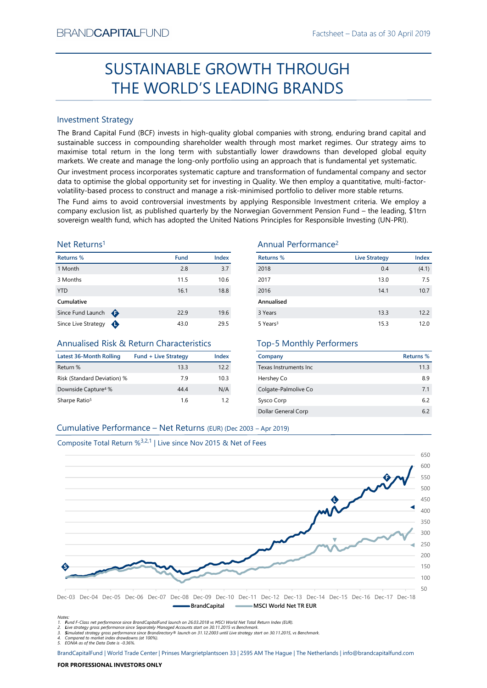# Factsheet – Data as of 30 April 2019<br> **SUGH** SUSTAINABLE GROWTH THROUGH THE WORLD'S LEADING BRANDS

# Investment Strategy

SUSTAINABLE GROWTH THROUGH<br>
THE WORLD'S LEADING BRANDS<br>
Investment Strategy<br>
Investment Strategy<br>
Investment Strategy<br>
Investment Strategy and Capital Fund (BCF) invests in high-quality global companies with strong, endur SUSTAINABLE GROWTH THROUGH<br>
THE WORLD'S LEADING BRANDS<br>
Investment Strategy<br>
The Brand Capital Fund (8CF) invests in high-quality global companies with strong, enduring brand capital and<br>
systematele success in compoundin SUSTAINABLE GROWTH THROUGH<br>
THE WORLD'S LEADING BRANDS<br>
Investment Strategy<br>
The Brand Capital Fund (BCF) invests in high-quality global companies with strong, enduring brand capital and<br>
maximise total return in the long THE WORLD'S LEADING BRANDS<br>
Investment Strategy<br>
Interstand Capital Fund (BCF) invests in high-quality global companies with strong, enduring brand capital and<br>
sustisanable success in compounding shareholder wealth throu Investment Strategy<br>
The Brand Capital Fund (BCF) invests in high-quality global companies with strong, enduring brand capital and<br>
sustainable success in compounding shareholder wealth through most market regimes. Our str Investment Strategy<br>
Since Europe Since Comparis (CCF) invests in high-quality global companies with strong, enduring brand Capital and<br>
Since Earad Capital Force Compounding shareholder wealth through most market regimes. BRAND**CAPITAL**FUND<br>
Factsheet – Data as of 30 April 2019<br> **SUSTAINABLE GROWTH THROUGH**<br> **THE WORLD'S LEADING BRANDS**<br>
Investment Strategy<br>
Investment Strategy<br>
Investment Strategy<br>
Investment Strategy<br>
Investment Strategy<br>  $\begin{array}{c} \text{Backheet-Data as of 30 April 2019} \\ \text{SUSTAINABLE GROWTH THROUGH} \\ \text{THE WORKLDS LEADING BRANDS} \\ \text{Investment Strategy} \\ \text{The Band Capital Fund (BCF) invests in high-quality global companies with strong, ending brand capital and sustainable success in compounding starholder wealth through most market regimes. Our strategy aims to maximize total return in the long term with substantially lower drawmands with and developed global equity markets. We create and manage the long-only portfolio using an approach that is fundamental very significant. Our investment process incorporates systematic capture and transformation of fundamental company and sector volatility-based process to construct and manage a risk-minimised portfolio to deliver more stable returns. \end{array}$ ESTAIN THE WORLD'S LEADING Factsheet – Data as of 30 April 2019<br>
SUSTAINABLE GROWTH THROUGH<br>
THE WORLD'S LEADING BRANDS<br>
Investment Strategy<br>
The Brand Capital Fund (BCF) invests in high-quality global companies with stron Factsheet – Data as of 30 April 2019<br>
SUSTAINABLE GROWTH THROUGH<br>
THE WORLD'S LEADING BRANDS<br>
Investment Strategy<br>
Investment Strategy<br>
Investment Strategy<br>
Investment Strategy<br>
Investment Strategy<br>
Investment Strategy<br>
In BRAND**CAPITAL**FUND<br>
SUSTAINABLE GROWTH THROUGH<br>
THE WORLD'S LEADING BRANDS<br>
Investment Strategy<br>
Investment Strategy<br>
Investment Strategy<br>
Investment Strategy<br>
Investment Strategy<br>
Sustainable success in compounding shareh BRANDCAPITALFUND<br>
SUSTAINABLE GROWTH THROUGH<br>
THE WORLD'S LEADING BRANDS<br>
Investment Strategy<br>
Investment Strategy<br>
The Brand Capital Fund (ICF) invests in high-quality global companies with strong, enduring brand capital BRANDCAPITALFUND<br>
SUSTAINABLE GROWTH THROUGH<br>
THE WORLD'S LEADING BRANDS<br>
Investment Strategy<br>
Interesting and Capital Fund (BCF) invests in high-quality global companies with strong, enduring brand capital and<br>
maximise t BRANDCAPITALFUND<br>
SUSTAINABLE GROWTH THROUGH<br>
THE WORLD'S LEADING BRANDS<br>
Investment Strategy<br>
The Brand Gapital Fund (BCF) invests in high-quality global companies with strong, enduring brand capital and<br>
sustainable succ ERANDCAPITALFUND<br>
SUSTAINABLE GROWTH THROUGH<br>
THE WORLD'S LEADING BRANDS<br>
Investment Strategy<br>
The Brand Capital Fund (BCF) invests in high-quality global companies with strong, enduring brand capital and<br>
maximize to con BRANDCAPITALFUND<br>
SUSTAINABLE GROWTH THROUGH<br>
THE WORLD'S LEADING BRANDS<br>
Investment Strategy<br>
Investment Strategy<br>
Investign fund (CCF) invests in high-quality global companies with strong, enduring brand capital and<br>
sus

# Net Returns1

| Returns %           |   | <b>Fund</b> | <b>Index</b> |
|---------------------|---|-------------|--------------|
| 1 Month             |   | 2.8         | 3.7          |
| 3 Months            |   | 11.5        | 10.6         |
| <b>YTD</b>          |   | 16.1        | 18.8         |
| Cumulative          |   |             |              |
| Since Fund Launch   | ⊕ | 22.9        | 19.6         |
| Since Live Strategy |   | 43.0        | 29.5         |

# Annualised Risk & Return Characteristics

| <b>Latest 36-Month Rolling</b>  | <b>Fund + Live Strategy</b> | Index |
|---------------------------------|-----------------------------|-------|
| Return %                        | 133                         | 12.2  |
| Risk (Standard Deviation) %     | 79                          | 103   |
| Downside Capture <sup>4</sup> % | 4444                        | N/A   |
| Sharpe Ratio <sup>5</sup>       | 16                          | 12    |

# Annual Performance2

|                                                                                                                                                                                                                                                                                                                                                                                                                                                                                                                                                                                                                                                                                        |                             |              | <b>SUSTAINABLE GROWTH THROUGH</b> |                             |                  |
|----------------------------------------------------------------------------------------------------------------------------------------------------------------------------------------------------------------------------------------------------------------------------------------------------------------------------------------------------------------------------------------------------------------------------------------------------------------------------------------------------------------------------------------------------------------------------------------------------------------------------------------------------------------------------------------|-----------------------------|--------------|-----------------------------------|-----------------------------|------------------|
|                                                                                                                                                                                                                                                                                                                                                                                                                                                                                                                                                                                                                                                                                        |                             |              | THE WORLD'S LEADING BRANDS        |                             |                  |
|                                                                                                                                                                                                                                                                                                                                                                                                                                                                                                                                                                                                                                                                                        |                             |              |                                   |                             |                  |
| <b>Investment Strategy</b>                                                                                                                                                                                                                                                                                                                                                                                                                                                                                                                                                                                                                                                             |                             |              |                                   |                             |                  |
| The Brand Capital Fund (BCF) invests in high-quality global companies with strong, enduring brand capital and<br>sustainable success in compounding shareholder wealth through most market regimes. Our strategy aims to<br>maximise total return in the long term with substantially lower drawdowns than developed global equity<br>markets. We create and manage the long-only portfolio using an approach that is fundamental yet systematic.<br>Our investment process incorporates systematic capture and transformation of fundamental company and sector<br>data to optimise the global opportunity set for investing in Quality. We then employ a quantitative, multi-factor- |                             |              |                                   |                             |                  |
| volatility-based process to construct and manage a risk-minimised portfolio to deliver more stable returns.<br>The Fund aims to avoid controversial investments by applying Responsible Investment criteria. We employ a                                                                                                                                                                                                                                                                                                                                                                                                                                                               |                             |              |                                   |                             |                  |
| company exclusion list, as published quarterly by the Norwegian Government Pension Fund - the leading, \$1trn<br>sovereign wealth fund, which has adopted the United Nations Principles for Responsible Investing (UN-PRI).<br>Net Returns <sup>1</sup>                                                                                                                                                                                                                                                                                                                                                                                                                                |                             |              | Annual Performance <sup>2</sup>   |                             |                  |
|                                                                                                                                                                                                                                                                                                                                                                                                                                                                                                                                                                                                                                                                                        |                             |              |                                   |                             |                  |
| Returns %<br>1 Month                                                                                                                                                                                                                                                                                                                                                                                                                                                                                                                                                                                                                                                                   | <b>Fund</b><br>2.8          | Index<br>3.7 | <b>Returns %</b><br>2018          | <b>Live Strategy</b><br>0.4 | Index            |
| 3 Months                                                                                                                                                                                                                                                                                                                                                                                                                                                                                                                                                                                                                                                                               | 11.5                        | 10.6         | 2017                              | 13.0                        | (4.1)<br>7.5     |
| <b>YTD</b>                                                                                                                                                                                                                                                                                                                                                                                                                                                                                                                                                                                                                                                                             | 16.1                        | 18.8         | 2016                              | 14.1                        | 10.7             |
| Cumulative                                                                                                                                                                                                                                                                                                                                                                                                                                                                                                                                                                                                                                                                             |                             |              | Annualised                        |                             |                  |
| Since Fund Launch $\bigoplus$                                                                                                                                                                                                                                                                                                                                                                                                                                                                                                                                                                                                                                                          | 22.9                        | 19.6         | 3 Years                           | 13.3                        | 12.2             |
| Since Live Strategy $\bigoplus$                                                                                                                                                                                                                                                                                                                                                                                                                                                                                                                                                                                                                                                        | 43.0                        | 29.5         | 5 Years <sup>3</sup>              | 15.3                        | 12.0             |
| Annualised Risk & Return Characteristics                                                                                                                                                                                                                                                                                                                                                                                                                                                                                                                                                                                                                                               |                             |              | <b>Top-5 Monthly Performers</b>   |                             |                  |
| <b>Latest 36-Month Rolling</b>                                                                                                                                                                                                                                                                                                                                                                                                                                                                                                                                                                                                                                                         | <b>Fund + Live Strategy</b> | Index        | Company                           |                             | <b>Returns %</b> |
| Return %                                                                                                                                                                                                                                                                                                                                                                                                                                                                                                                                                                                                                                                                               | 13.3                        | 12.2         | Texas Instruments Inc             |                             | 11.3             |
| Risk (Standard Deviation) %                                                                                                                                                                                                                                                                                                                                                                                                                                                                                                                                                                                                                                                            | 7.9                         | 10.3         | Hershey Co                        |                             | 8.9              |
| Downside Capture <sup>4</sup> %                                                                                                                                                                                                                                                                                                                                                                                                                                                                                                                                                                                                                                                        | 44.4                        | N/A          | Colgate-Palmolive Co              |                             | 7.1              |
| Sharpe Ratio <sup>5</sup>                                                                                                                                                                                                                                                                                                                                                                                                                                                                                                                                                                                                                                                              | 1.6                         | 1.2          | Sysco Corp                        |                             | 6.2              |
|                                                                                                                                                                                                                                                                                                                                                                                                                                                                                                                                                                                                                                                                                        |                             |              | Dollar General Corp               |                             | 6.2              |
| Cumulative Performance - Net Returns (EUR) (Dec 2003 - Apr 2019)                                                                                                                                                                                                                                                                                                                                                                                                                                                                                                                                                                                                                       |                             |              |                                   |                             |                  |
| Composite Total Return % <sup>3,2,1</sup>   Live since Nov 2015 & Net of Fees                                                                                                                                                                                                                                                                                                                                                                                                                                                                                                                                                                                                          |                             |              |                                   |                             |                  |
|                                                                                                                                                                                                                                                                                                                                                                                                                                                                                                                                                                                                                                                                                        |                             |              |                                   |                             | 650              |
|                                                                                                                                                                                                                                                                                                                                                                                                                                                                                                                                                                                                                                                                                        |                             |              |                                   |                             |                  |

# Top-5 Monthly Performers

| Company                | Returns % |
|------------------------|-----------|
| Texas Instruments Inc. | 11.3      |
| Hershey Co             | 8.9       |
| Colgate-Palmolive Co   | 71        |
| Sysco Corp             | 6.2       |
| Dollar General Corp    | 62        |

Composite Total Return %2<sup>2,21</sup> | Live since Nov 2015 & Net of Fees<br>
050<br>
060<br>
1450<br>
1470<br>
1470<br>
1470<br>
1470<br>
1470<br>
1470<br>
1470<br>
1470<br>
1470<br>
1470<br>
1470<br>
2470<br>
2470<br>
2470<br>
2470<br>
2470<br>
2470<br>
2470<br>
2470<br>
2470<br>
2470<br>
2470<br>
2470 Sovereign wealth fund. which has adopted the United Nations Principles for Responsible Investing (UN-PR).<br>
Net Returns <sup>16</sup><br>
Returns <sup>16</sup><br>
Noten <sup>16</sup><br>
Cumulative Performance – Net Returns 16<br>
28 37<br>
28 300 4431<br>
28 300 44 Composite Total Return %3,2,1 | Live since Nov 2015 & Net of Fees Downside Capture<sup>4</sup> % **444** N/A Colgarie-Palmolve Co<br>
Sharpe Ratio<sup>2</sup> Dec-06 Dec-07 Dec-12 Dec-12 Dec-2003 - Apr 2015)<br>
Composite Total Return %<sup>3,2,1</sup> | Live since Nov 2015 & Net of Fees<br>
Composite Total Return %<sup>3,2,1</sup> | 50 100 150 200 250 300 350 400 450 500 550 600 650 **BrandCapital CREW MSCI World Net TR EUR**  $\bullet$  450 F S

Notes:<br>1. Fund F-Class net performance since BrandCapitalFund launch on 26.03.2018 vs MSCI World Net Total Return Index (EUR).<br>2. Live strategy gross performance since Separately Managed Accounts start on 30.11.2015 vs Ben

5. EONIA as of the Data Date is -0.36%.